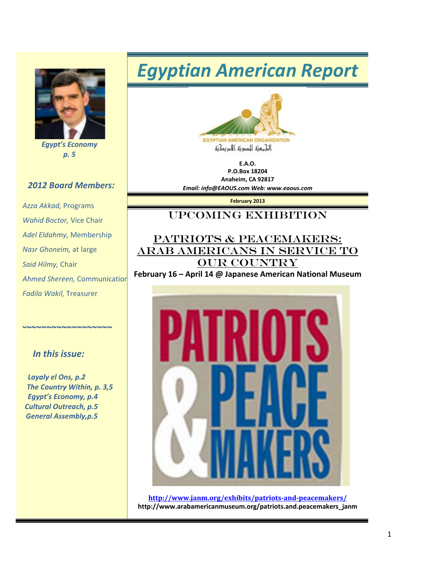

*Egypt's Economy p. 5*

#### *2012 Board Members:*

*Azza Akkad,* Programs *Wahid Boctor,* Vice Chair *Adel Eldahmy,* Membership *Nasr Ghoneim,* at large *Said Hilmy,* Chair *Ahmed Shereen,* Communication *Fadila Wakil,* Treasurer

#### *In this issue:*

*~~~~~~~~~~~~~~~~~~*

 *Layaly el Ons, p.2 The Country Within, p. 3,5 Egypt's Economy, p.4 Cultural Outreach, p.5 General Assembly,p.5*

# *Egyptian American Report*



**E.A.O. P.O.Box 18204 Anaheim, CA 92817** *Email: info@EAOUS.com Web: www.eaous.com* 

**February 2013**

#### Upcoming EXHIBITION

#### PATRIOTS & PEACEMAKERS: ARAB AMERICANS IN SERVICE TO OUR COUNTRY

**February 16 – April 14 @ Japanese American National Museum**



**<http://www.janm.org/exhibits/patriots-and-peacemakers/> http://www.arabamericanmuseum.org/patriots.and.peacemakers\_janm**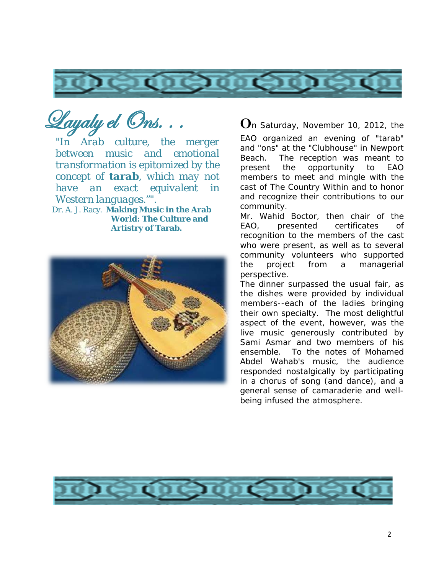

Layaly el Ons. . .

*"In Arab culture, the merger between music and emotional transformation is epitomized by the concept of tarab, which may not have an exact equivalent in* 

Dr. A. J. Racy. **Making Music in the Arab World: The Culture and Artistry of Tarab.**



**O**n Saturday, November 10, 2012, the

EAO organized an evening of "tarab" and "ons" at the "Clubhouse" in Newport Beach. The reception was meant to present the opportunity to EAO members to meet and mingle with the cast of *The Country Within* and to honor and recognize their contributions to our community.

Mr. Wahid Boctor, then chair of the EAO, presented certificates of recognition to the members of the cast who were present, as well as to several community volunteers who supported the project from a managerial perspective.

The dinner surpassed the usual fair, as the dishes were provided by individual members--each of the ladies bringing their own specialty. The most delightful aspect of the event, however, was the live music generously contributed by Sami Asmar and two members of his ensemble. To the notes of Mohamed Abdel Wahab's music, the audience responded nostalgically by participating in a chorus of song (and dance), and a general sense of camaraderie and wellbeing infused the atmosphere.

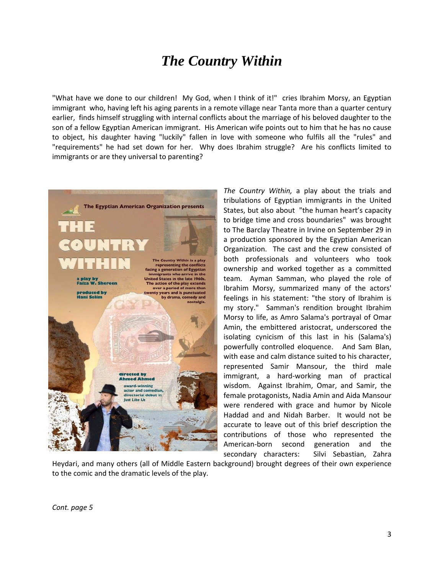### *The Country Within*

"What have we done to our children! My God, when I think of it!" cries Ibrahim Morsy, an Egyptian immigrant who, having left his aging parents in a remote village near Tanta more than a quarter century earlier, finds himself struggling with internal conflicts about the marriage of his beloved daughter to the son of a fellow Egyptian American immigrant. His American wife points out to him that he has no cause to object, his daughter having "luckily" fallen in love with someone who fulfils all the "rules" and "requirements" he had set down for her. Why does Ibrahim struggle? Are his conflicts limited to immigrants or are they universal to parenting?



*The Country Within,* a play about the trials and tribulations of Egyptian immigrants in the United States, but also about "the human heart's capacity to bridge time and cross boundaries" was brought to The Barclay Theatre in Irvine on September 29 in a production sponsored by the Egyptian American Organization. The cast and the crew consisted of both professionals and volunteers who took ownership and worked together as a committed team. Ayman Samman, who played the role of Ibrahim Morsy, summarized many of the actors' feelings in his statement: "the story of Ibrahim is my story." Samman's rendition brought Ibrahim Morsy to life, as Amro Salama's portrayal of Omar Amin, the embittered aristocrat, underscored the isolating cynicism of this last in his (Salama's) powerfully controlled eloquence. And Sam Blan, with ease and calm distance suited to his character, represented Samir Mansour, the third male immigrant, a hard-working man of practical wisdom. Against Ibrahim, Omar, and Samir, the female protagonists, Nadia Amin and Aida Mansour were rendered with grace and humor by Nicole Haddad and and Nidah Barber. It would not be accurate to leave out of this brief description the contributions of those who represented the American-born second generation and the secondary characters: Silvi Sebastian, Zahra

Heydari, and many others (all of Middle Eastern background) brought degrees of their own experience to the comic and the dramatic levels of the play.

*Cont. page 5*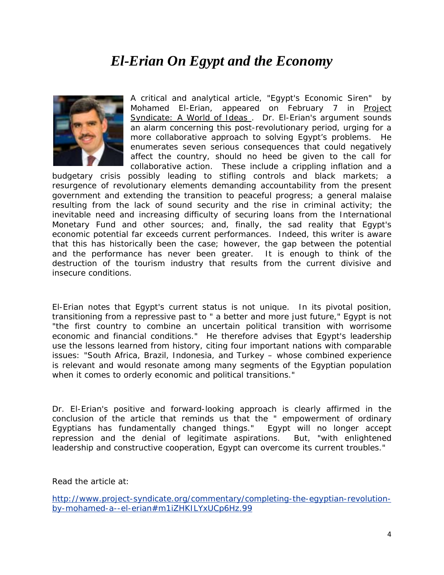## *El-Erian On Egypt and the Economy*



A critical and analytical article, "Egypt's Economic Siren" by Mohamed El-Erian, appeared on February 7 in Project Syndicate: A World of Ideas . Dr. El-Erian's argument sounds an alarm concerning this post-revolutionary period, urging for a more collaborative approach to solving Egypt's problems. He enumerates seven serious consequences that could negatively affect the country, should no heed be given to the call for collaborative action. These include a crippling inflation and a

budgetary crisis possibly leading to stifling controls and black markets; a resurgence of revolutionary elements demanding accountability from the present government and extending the transition to peaceful progress; a general malaise resulting from the lack of sound security and the rise in criminal activity; the inevitable need and increasing difficulty of securing loans from the International Monetary Fund and other sources; and, finally, the sad reality that Egypt's economic potential far exceeds current performances. Indeed, this writer is aware that this has historically been the case; however, the gap between the potential and the performance has never been greater. It is enough to think of the destruction of the tourism industry that results from the current divisive and insecure conditions.

El-Erian notes that Egypt's current status is not unique. In its pivotal position, transitioning from a repressive past to " a better and more just future," Egypt is not "the first country to combine an uncertain political transition with worrisome economic and financial conditions." He therefore advises that Egypt's leadership use the lessons learned from history, citing four important nations with comparable issues: "South Africa, Brazil, Indonesia, and Turkey – whose combined experience is relevant and would resonate among many segments of the Egyptian population when it comes to orderly economic and political transitions."

Dr. El-Erian's positive and forward-looking approach is clearly affirmed in the conclusion of the article that reminds us that the " empowerment of ordinary Egyptians has fundamentally changed things." Egypt will no longer accept repression and the denial of legitimate aspirations. But, "with enlightened leadership and constructive cooperation, Egypt can overcome its current troubles."

Read the article at:

[http://www.project-syndicate.org/commentary/completing-the-egyptian-revolution](http://www.project-syndicate.org/commentary/completing-the-egyptian-revolution-by-mohamed-a--el-erian#m1iZHKILYxUCp6Hz.99)[by-mohamed-a--el-erian#m1iZHKILYxUCp6Hz.99](http://www.project-syndicate.org/commentary/completing-the-egyptian-revolution-by-mohamed-a--el-erian#m1iZHKILYxUCp6Hz.99)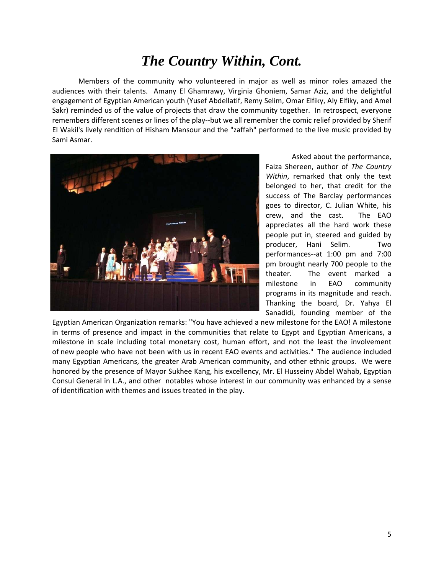### *The Country Within, Cont.*

Members of the community who volunteered in major as well as minor roles amazed the audiences with their talents. Amany El Ghamrawy, Virginia Ghoniem, Samar Aziz, and the delightful engagement of Egyptian American youth (Yusef Abdellatif, Remy Selim, Omar Elfiky, Aly Elfiky, and Amel Sakr) reminded us of the value of projects that draw the community together. In retrospect, everyone remembers different scenes or lines of the play--but we all remember the comic relief provided by Sherif El Wakil's lively rendition of Hisham Mansour and the "zaffah" performed to the live music provided by Sami Asmar.



Asked about the performance, Faiza Shereen, author of *The Country Within*, remarked that only the text belonged to her, that credit for the success of The Barclay performances goes to director, C. Julian White, his crew, and the cast. The EAO appreciates all the hard work these people put in, steered and guided by producer, Hani Selim. Two performances--at 1:00 pm and 7:00 pm brought nearly 700 people to the theater. The event marked a milestone in EAO community programs in its magnitude and reach. Thanking the board, Dr. Yahya El Sanadidi, founding member of the

Egyptian American Organization remarks: "You have achieved a new milestone for the EAO! A milestone in terms of presence and impact in the communities that relate to Egypt and Egyptian Americans, a milestone in scale including total monetary cost, human effort, and not the least the involvement of new people who have not been with us in recent EAO events and activities." The audience included many Egyptian Americans, the greater Arab American community, and other ethnic groups. We were honored by the presence of Mayor Sukhee Kang, his excellency, Mr. El Husseiny Abdel Wahab, Egyptian Consul General in L.A., and other notables whose interest in our community was enhanced by a sense of identification with themes and issues treated in the play.